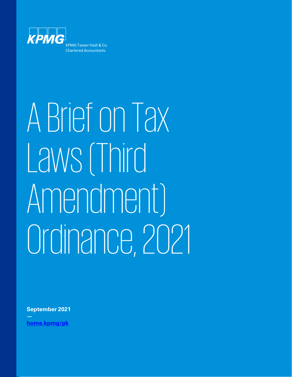

# ABriefon Tax Laws (Third Amendment) Ordinance,2021

**September 2021**

**[home.kpmg/pk](https://home.kpmg/pk/en/home.html)**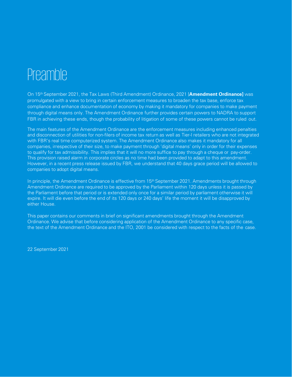## **Preamble**

On 15th September 2021, the Tax Laws (Third Amendment) Ordinance, 2021 [**Amendment Ordinance]** was promulgated with a view to bring in certain enforcement measures to broaden the tax base, enforce tax compliance and enhance documentation of economy by making it mandatory for companies to make payment through digital means only. The Amendment Ordinance further provides certain powers to NADRA to support FBR in achieving these ends, though the probability of litigation of some of these powers cannot be ruled out.

The main features of the Amendment Ordinance are the enforcement measures including enhanced penalties and disconnection of utilities for non-filers of income tax return as well as Tier-I retailers who are not integrated with FBR's real time computerized system. The Amendment Ordinance also makes it mandatory for all companies, irrespective of their size, to make payment through 'digital means' only in order for their expenses to qualify for tax admissibility. This implies that it will no more suffice to pay through a cheque or pay-order. This provision raised alarm in corporate circles as no time had been provided to adapt to this amendment. However, in a recent press release issued by FBR, we understand that 40 days grace period will be allowed to companies to adopt digital means.

In principle, the Amendment Ordinance is effective from 15<sup>th</sup> September 2021. Amendments brought through Amendment Ordinance are required to be approved by the Parliament within 120 days unless it is passed by the Parliament before that period or is extended only once for a similar period by parliament otherwise it will expire. It will die even before the end of its 120 days or 240 days' life the moment it will be disapproved by either House.

This paper contains our comments in brief on significant amendments brought through the Amendment Ordinance. We advise that before considering application of the Amendment Ordinance to any specific case, the text of the Amendment Ordinance and the ITO, 2001 be considered with respect to the facts of the case.

22 September 2021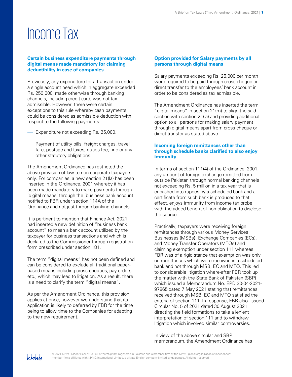## IncomeTax

#### **Certain business expenditure payments through digital means made mandatory for claiming deductibility in case of companies**

Previously, any expenditure for a transaction under a single account head which in aggregate exceeded Rs. 250,000, made otherwise through banking channels, including credit card, was not tax admissible. However, there were certain exceptions to this rule whereby cash payments could be considered as admissible deduction with respect to the following payments:

- Expenditure not exceeding Rs. 25,000.
- Payment of utility bills, freight charges, travel fare, postage and taxes, duties fee, fine or any other statutory obligations.

The Amendment Ordinance has restricted the above provision of law to non-corporate taxpayers only. For companies, a new section 21(la) has been inserted in the Ordinance, 2001 whereby it has been made mandatory to make payments through 'digital means' through the 'business bank account notified to FBR under section 114A of the Ordinance and not just through banking channels.

It is pertinent to mention that Finance Act, 2021 had inserted a new definition of "business bank account" to mean a bank account utilized by the taxpayer for business transactions and which is declared to the Commissioner through registration form prescribed under section 181.

The term "digital means" has not been defined and can be considered to exclude all traditional paperbased means including cross cheques, pay orders etc., which may lead to litigation. As a result, there is a need to clarify the term "digital means".

As per the Amendment Ordinance, this provision applies at once, however we understand that its application is likely to deferred by FBR for the time being to allow time to the Companies for adapting to the new requirement.

#### **Option provided for Salary payments by all persons through digital means**

Salary payments exceeding Rs. 25,000 per month were required to be paid through cross cheque or direct transfer to the employees' bank account in order to be considered as tax admissible.

The Amendment Ordinance has inserted the term "digital means" in section 21(m) to align the said section with section 21(la) and providing additional option to all persons for making salary payment through digital means apart from cross cheque or direct transfer as stated above.

#### **Incoming foreign remittances other than through schedule banks clarified to also enjoy immunity**

In terms of section 111(4) of the Ordinance, 2001, any amount of foreign exchange remitted from outside Pakistan through normal banking channels not exceeding Rs. 5 million in a tax year that is encashed into rupees by a scheduled bank and a certificate from such bank is produced to that effect, enjoys immunity from income tax probe with the added benefit of non-obligation to disclose the source.

Practically, taxpayers were receiving foreign remittances through various Money Services Businesses (MSBs**)**, Exchange Companies (ECs), and Money Transfer Operators (MTOs**)** and claiming exemption under section 111 whereas FBR was of a rigid stance that exemption was only on remittances which were received in a scheduled bank and not through MSB, EC and MTO. This led to considerable litigation where-after FBR took up the matter with the State Bank of Pakistan (SBP) which issued a Memorandum No. EPD 30-04-2021- 97865 dated 7 May 2021 stating that remittances received through MSB, EC and MTO satisfied the criteria of section 111. In response, FBR also issued Circular No. 5 of 2021 dated 30 August 2021 directing the field formations to take a lenient interpretation of section 111 and to withdraw litigation which involved similar controversies.

In view of the above circular and SBP memorandum, the Amendment Ordinance has

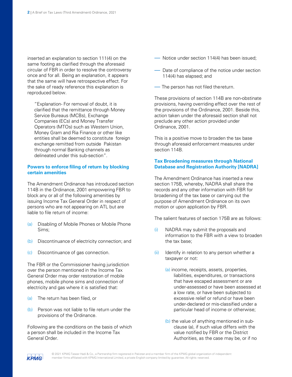inserted an explanation to section 111(4) on the same footing as clarified through the aforesaid circular of FBR in order to resolve the controversy once and for all. Being an explanation, it appears that the same will have retrospective effect. For the sake of ready reference this explanation is reproduced below.

"Explanation- For removal of doubt, it is clarified that the remittance through Money Service Bureaus (MCBs), Exchange Companies (ECs) and Money Transfer Operators (MTOs) such as Western Union, Money Gram and Ria Finance or other like entities shall be deemed to constitute foreign exchange remitted from outside Pakistan through normal Banking channels as delineated under this sub-section".

#### **Powers to enforce filing of return by blocking certain amenities**

The Amendment Ordinance has introduced section 114B in the Ordinance, 2001 empowering FBR to block any or all of the following amenities by issuing Income Tax General Order in respect of persons who are not appearing on ATL but are liable to file return of income:

- (a) Disabling of Mobile Phones or Mobile Phone Sims;
- (b) Discontinuance of electricity connection; and
- (c) Discontinuance of gas connection.

The FBR or the Commissioner having jurisdiction over the person mentioned in the Income Tax General Order may order restoration of mobile phones, mobile phone sims and connection of electricity and gas where it is satisfied that:

- (a) The return has been filed, or
- (b) Person was not liable to file return under the provisions of the Ordinance.

Following are the conditions on the basis of which a person shall be included in the Income Tax General Order.

- Notice under section 114(4) has been issued;
- Date of compliance of the notice under section 114(4) has elapsed; and
- The person has not filed thereturn.

These provisions of section 114B are non-obstinate provisions, having overriding effect over the rest of the provisions of the Ordinance, 2001. Beside this, action taken under the aforesaid section shall not preclude any other action provided under Ordinance, 2001.

This is a positive move to broaden the tax base through aforesaid enforcement measures under section 114B.

#### **Tax Broadening measures through National Database and Registration Authority [NADRA]**

The Amendment Ordinance has inserted a new section 175B, whereby, NADRA shall share the records and any other information with FBR for broadening of the tax base or carrying out the purpose of Amendment Ordinance on its own motion or upon application by FBR.

The salient features of section 175B are as follows:

- (i) NADRA may submit the proposals and information to the FBR with a view to broaden the tax base;
- (ii) Identify in relation to any person whether a taxpayer or not:
	- (a) income, receipts, assets, properties, liabilities, expenditures, or transactions that have escaped assessment or are under-assessed or have been assessed at a low rate, or have been subjected to excessive relief or refund or have been under-declared or mis-classified under a particular head of income or otherwise;
	- (b) the value of anything mentioned in subclause (a), if such value differs with the value notified by FBR or the District Authorities, as the case may be, or if no

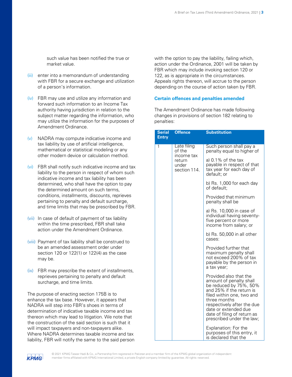such value has been notified the true or market value.

- (iii) enter into a memorandum of understanding with FBR for a secure exchange and utilization of a person's information.
- (iv) FBR may use and utilize any information and forward such information to an Income Tax authority having jurisdiction in relation to the subject matter regarding the information, who may utilize the information for the purposes of Amendment Ordinance.
- $(v)$  NADRA may compute indicative income and tax liability by use of artificial intelligence, mathematical or statistical modeling or any other modern device or calculation method.
- (vi) FBR shall notify such indicative income and tax liability to the person in respect of whom such indicative income and tax liability has been determined, who shall have the option to pay the determined amount on such terms, conditions, installments, discounts, reprieves pertaining to penalty and default surcharge, and time limits that may be prescribed by FBR.
- (vii) In case of default of payment of tax liability within the time prescribed, FBR shall take action under the Amendment Ordinance.
- (viii) Payment of tax liability shall be construed to be an amended assessment order under section 120 or 122(1) or 122(4) as the case may be.
- (ix) FBR may prescribe the extent of installments, reprieves pertaining to penalty and default surcharge, and time limits.

The purpose of enacting section 175B is to enhance the tax base. However, it appears that NADRA will step into FBR's shoes in terms of determination of indicative taxable income and tax thereon which may lead to litigation. We note that the construction of the said section is such that it will impact taxpayers and non-taxpayers alike. Where NADRA determines taxable income and tax liability, FBR will notify the same to the said person with the option to pay the liability, failing which, action under the Ordinance, 2001 will be taken by FBR which may include invoking section 120 or 122, as is appropriate in the circumstances. Appeals rights thereon, will accrue to the person depending on the course of action taken by FBR.

#### **Certain offences and penalties amended**

The Amendment Ordinance has made following changes in provisions of section 182 relating to penalties:

| <b>Serial</b><br><b>Entry</b> | <b>Offence</b>                      | <b>Substitution</b>                                                                                                                                                                                                                                                    |
|-------------------------------|-------------------------------------|------------------------------------------------------------------------------------------------------------------------------------------------------------------------------------------------------------------------------------------------------------------------|
| 1                             | Late filing<br>of the<br>income tax | Such person shall pay a<br>penalty equal to higher of                                                                                                                                                                                                                  |
|                               | return<br>under<br>section 114.     | a) $0.1\%$ of the tax<br>payable in respect of that<br>tax year for each day of<br>default; or                                                                                                                                                                         |
|                               |                                     | b) Rs. 1,000 for each day<br>of default:                                                                                                                                                                                                                               |
|                               |                                     | Provided that minimum<br>penalty shall be                                                                                                                                                                                                                              |
|                               |                                     | a) Rs. 10,000 in case of<br>individual having seventy-<br>five percent or more<br>income from salary; or                                                                                                                                                               |
|                               |                                     | b) Rs. 50,000 in all other<br>cases:                                                                                                                                                                                                                                   |
|                               |                                     | Provided further that<br>maximum penalty shall<br>not exceed 200% of tax<br>payable by the person in<br>a tax year;                                                                                                                                                    |
|                               |                                     | Provided also that the<br>amount of penalty shall<br>be reduced by 75%, 50%<br>and 25% if the return is<br>filed within one, two and<br>three months<br>respectively after the due<br>date or extended due<br>date of filing of return as<br>prescribed under the law; |
|                               |                                     | Explanation: For the<br>purposes of this entry, it<br>is declared that the                                                                                                                                                                                             |

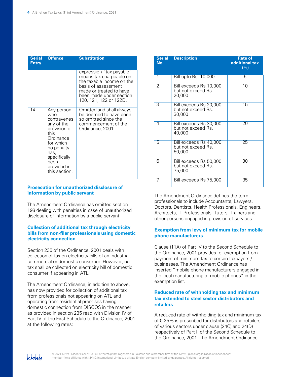| <b>Serial</b><br><b>Entry</b> | <b>Offence</b>                                                                                                                                                                 | <b>Substitution</b>                                                                                                                                                                     |
|-------------------------------|--------------------------------------------------------------------------------------------------------------------------------------------------------------------------------|-----------------------------------------------------------------------------------------------------------------------------------------------------------------------------------------|
|                               |                                                                                                                                                                                | expression "tax payable"<br>means tax chargeable on<br>the taxable income on the<br>basis of assessment<br>made or treated to have<br>been made under section<br>120, 121, 122 or 122D. |
| 14                            | Any person<br>who<br>contravenes<br>any of the<br>provision of<br>this<br>Ordinance<br>for which<br>no penalty<br>has,<br>specifically<br>been<br>provided in<br>this section. | Omitted and shall always<br>be deemed to have been<br>so omitted since the<br>commencement of the<br>Ordinance, 2001.                                                                   |

#### **Prosecution for unauthorized disclosure of information by public servant**

The Amendment Ordinance has omitted section 198 dealing with penalties in case of unauthorized disclosure of information by a public servant.

#### **Collection of additional tax through electricity bills from non-filer professionals using domestic electricity connection**

Section 235 of the Ordinance, 2001 deals with collection of tax on electricity bills of an industrial, commercial or domestic consumer. However, no tax shall be collected on electricity bill of domestic consumer if appearing in ATL.

The Amendment Ordinance, in addition to above, has now provided for collection of additional tax from professionals not appearing on ATL and operating from residential premises having domestic connection from DISCOS in the manner as provided in section 235 read with Division IV of Part IV of the First Schedule to the Ordinance, 2001 at the following rates:

| <b>Serial</b><br>No. | <b>Description</b>                                     | <b>Rate of</b><br>additional tax<br>(%) |
|----------------------|--------------------------------------------------------|-----------------------------------------|
| $\overline{1}$       | <b>Bill upto Rs. 10,000</b>                            | 5                                       |
| $\overline{2}$       | Bill exceeds Rs 10,000<br>but not exceed Rs.<br>20,000 | 10                                      |
| 3                    | Bill exceeds Rs 20,000<br>but not exceed Rs.<br>30,000 | 15                                      |
| 4                    | Bill exceeds Rs 30,000<br>but not exceed Rs.<br>40,000 | 20                                      |
| 5                    | Bill exceeds Rs 40,000<br>but not exceed Rs.<br>50,000 | 25                                      |
| 6                    | Bill exceeds Rs 50,000<br>but not exceed Rs.<br>75,000 | 30                                      |
|                      | Bill exceeds Rs 75,000                                 | 35                                      |

The Amendment Ordinance defines the term professionals to include Accountants, Lawyers, Doctors, Dentists, Health Professionals, Engineers, Architects, IT Professionals, Tutors, Trainers and other persons engaged in provision of services.

#### **Exemption from levy of minimum tax for mobile phone manufacturers**

Clause (11A) of Part IV to the Second Schedule to the Ordinance, 2001 provides for exemption from payment of minimum tax to certain taxpayers / businesses. The Amendment Ordinance has inserted "mobile phone manufacturers engaged in the local manufacturing of mobile phones" in the exemption list.

#### **Reduced rate of withholding tax and minimum tax extended to steel sector distributors and retailers**

A reduced rate of withholding tax and minimum tax of 0.25% is prescribed for distributors and retailers of various sectors under clause (24C) and 24(D) respectively of Part II of the Second Schedule to the Ordinance, 2001. The Amendment Ordinance

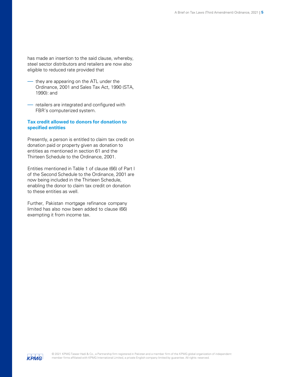has made an insertion to the said clause, whereby, steel sector distributors and retailers are now also eligible to reduced rate provided that

- they are appearing on the ATL under the Ordinance, 2001 and Sales Tax Act, 1990 (STA, 1990): and
- retailers are integrated and configured with FBR's computerized system.

#### **Tax credit allowed to donors for donation to specified entities**

Presently, a person is entitled to claim tax credit on donation paid or property given as donation to entities as mentioned in section 61 and the Thirteen Schedule to the Ordinance, 2001.

Entities mentioned in Table 1 of clause (66) of Part I of the Second Schedule to the Ordinance, 2001 are now being included in the Thirteen Schedule, enabling the donor to claim tax credit on donation to these entities as well.

Further, Pakistan mortgage refinance company limited has also now been added to clause (66) exempting it from income tax.

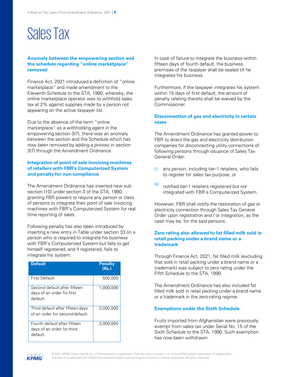## SalesTax

#### **Anomaly between the empowering section and the schedule regarding "online marketplace" removed**

Finance Act, 2021 introduced a definition of "online marketplace" and made amendment to the Eleventh Schedule to the STA, 1990, whereby, the online marketplace operator was to withhold sales tax at 2% against supplies made by a person not appearing on the active taxpayer list.

Due to the absence of the term "online marketplace" as a withholding agent in the empowering section 3(7), there was an anomaly between the section and the Schedule which has now been removed by adding a proviso in section 3(7) through the Amendment Ordinance.

#### **Integration of point of sale invoicing machines of retailers with FBR's Computerized System and penalty for non-compliance**

The Amendment Ordinance has inserted new sub section (10) under section 3 of the STA, 1990, granting FBR powers to require any person or class of persons to integrate their point of sale invoicing machines with FBR's Computerized System for real time reporting of sales.

Following penalty has also been introduced by inserting a new entry in Table under section 33 on a person who is required to integrate his business with FBR's Computerized System but fails to get himself registered, and if registered, fails to integrate his system:

| <b>Default</b>                                                         | <b>Penalty</b><br>(Rs.) |
|------------------------------------------------------------------------|-------------------------|
| First Default.                                                         | 500,000                 |
| Second default after fifteen<br>days of an order for first<br>default. | 1,000,000               |
| Third default after fifteen days<br>of an order for second default.    | 2,000,000               |
| Fourth default after fifteen<br>days of an order for third<br>default. | 3,000,000               |

In case of failure to integrate the business within fifteen days of fourth default, the business premises of the taxpayer shall be sealed till he integrates his business.

Furthermore, if the taxpayer integrates his system within 15 days of first default, the amount of penalty relating thereto shall be waived by the Commissioner.

#### **Disconnection of gas and electricity in certain cases**

The Amendment Ordinance has granted power to FBR to direct the gas and electricity distribution companies for disconnecting utility connections of following persons through issuance of Sales Tax General Order:

- (i) any person, including tier-1 retailers, who fails to register for sales tax purpose, or
- (ii) notified tier-1 retailers registered but nor integrated with FBR's Computerized System.

However, FBR shall notify the restoration of gas or electricity connection through Sales Tax General Order upon registration and / or integration, as the case may be, for the said persons.

#### **Zero rating also allowed to fat filled milk sold in retail packing under a brand name or a trademark**

Through Finance Act, 2021, fat filled milk (excluding that sold in retail packing under a brand name or a trademark) was subject to zero rating under the Fifth Schedule to the STA, 1990.

The Amendment Ordinance has also included fat filled milk sold in retail packing under a brand name or a trademark in the zero-rating regime.

#### **Exemptions under the Sixth Schedule**

Fruits imported from Afghanistan were previously exempt from sales tax under Serial No. 15 of the Sixth Schedule to the STA, 1990. Such exemption has now been withdrawn.



© 2021 KPMG Taseer Hadi & Co., a Partnership firm registered in Pakistan and a member firm of the KPMG global organization of independent  $k$  **PMAC** member firms affiliated with KPMG International Limited, a private English company limited by guarantee. All rights reserved.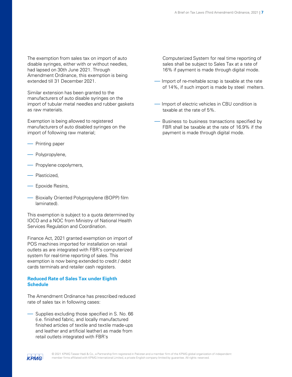The exemption from sales tax on import of auto disable syringes, either with or without needles, had lapsed on 30th June 2021. Through Amendment Ordinance, this exemption is being extended till 31 December 2021.

Similar extension has been granted to the manufacturers of auto disable syringes on the import of tubular metal needles and rubber gaskets as raw materials.

Exemption is being allowed to registered manufacturers of auto disabled syringes on the import of following raw material;

- Printing paper
- Polypropylene,
- Propylene copolymers,
- Plasticized,
- Epoxide Resins,
- Bioxially Oriented Polypropylene (BOPP) film laminated).

This exemption is subject to a quota determined by IOCO and a NOC from Ministry of National Health Services Regulation and Coordination.

Finance Act, 2021 granted exemption on import of POS machines imported for installation on retail outlets as are integrated with FBR's computerized system for real-time reporting of sales. This exemption is now being extended to credit / debit cards terminals and retailer cash registers.

#### **Reduced Rate of Sales Tax under Eighth Schedule**

The Amendment Ordinance has prescribed reduced rate of sales tax in following cases:

Supplies excluding those specified in S. No. 66 (i.e. finished fabric, and locally manufactured finished articles of textile and textile made-ups and leather and artificial leather) as made from retail outlets integrated with FBR's

Computerized System for real time reporting of sales shall be subject to Sales Tax at a rate of 16% if payment is made through digital mode.

- Import of re-meltable scrap is taxable at the rate of 14%, if such import is made by steel melters.
- Import of electric vehicles in CBU condition is taxable at the rate of 5%.
- Business to business transactions specified by FBR shall be taxable at the rate of 16.9% if the payment is made through digital mode.

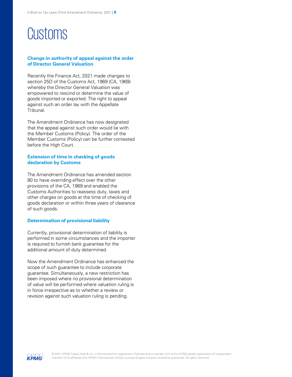## Customs

#### **Change in authority of appeal against the order of Director General Valuation**

Recently the Finance Act, 2021 made changes to section 25D of the Customs Act, 1969 (CA, 1969) whereby the Director General Valuation was empowered to rescind or determine the value of goods imported or exported. The right to appeal against such an order lay with the Appellate Tribunal.

The Amendment Ordinance has now designated that the appeal against such order would lie with the Member Customs (Policy). The order of the Member Customs (Policy) can be further contested before the High Court.

#### **Extension of time in checking of goods declaration by Customs**

The Amendment Ordinance has amended section 80 to have overriding effect over the other provisions of the CA, 1969 and enabled the Customs Authorities to reassess duty, taxes and other charges on goods at the time of checking of goods declaration or within three years of clearance of such goods.

#### **Determination of provisional liability**

Currently, provisional determination of liability is performed in some circumstances and the importer is required to furnish bank guarantee for the additional amount of duty determined.

Now the Amendment Ordinance has enhanced the scope of such guarantee to include corporate guarantee. Simultaneously, a new restriction has been imposed where no provisional determination of value will be performed where valuation ruling is in force irrespective as to whether a review or revision against such valuation ruling is pending.